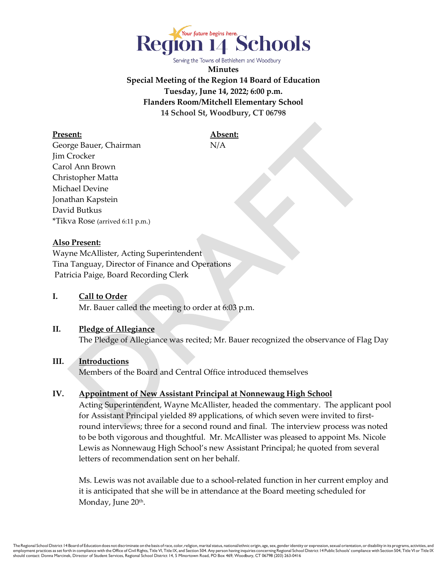

Serving the Towns of Bethlehem and Woodbury

**Minutes Special Meeting of the Region 14 Board of Education Tuesday, June 14, 2022; 6:00 p.m. Flanders Room/Mitchell Elementary School 14 School St, Woodbury, CT 06798**

**Present: Absent:** George Bauer, Chairman N/A Jim Crocker Carol Ann Brown Christopher Matta Michael Devine Jonathan Kapstein David Butkus \*Tikva Rose (arrived 6:11 p.m.)

#### **Also Present:**

Wayne McAllister, Acting Superintendent Tina Tanguay, Director of Finance and Operations Patricia Paige, Board Recording Clerk

#### **I. Call to Order**

Mr. Bauer called the meeting to order at 6:03 p.m.

#### **II. Pledge of Allegiance**

The Pledge of Allegiance was recited; Mr. Bauer recognized the observance of Flag Day

## **III. Introductions**

Members of the Board and Central Office introduced themselves

## **IV. Appointment of New Assistant Principal at Nonnewaug High School**

Acting Superintendent, Wayne McAllister, headed the commentary. The applicant pool for Assistant Principal yielded 89 applications, of which seven were invited to firstround interviews; three for a second round and final. The interview process was noted to be both vigorous and thoughtful. Mr. McAllister was pleased to appoint Ms. Nicole Lewis as Nonnewaug High School's new Assistant Principal; he quoted from several letters of recommendation sent on her behalf.

Ms. Lewis was not available due to a school-related function in her current employ and it is anticipated that she will be in attendance at the Board meeting scheduled for Monday, June 20<sup>th</sup>.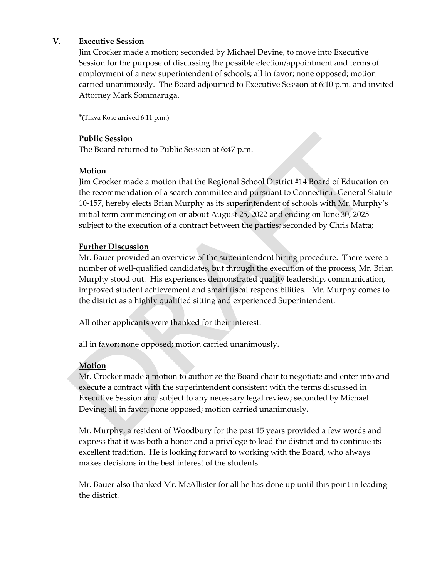#### **V. Executive Session**

Jim Crocker made a motion; seconded by Michael Devine, to move into Executive Session for the purpose of discussing the possible election/appointment and terms of employment of a new superintendent of schools; all in favor; none opposed; motion carried unanimously. The Board adjourned to Executive Session at 6:10 p.m. and invited Attorney Mark Sommaruga.

\*(Tikva Rose arrived 6:11 p.m.)

#### **Public Session**

The Board returned to Public Session at 6:47 p.m.

#### **Motion**

Jim Crocker made a motion that the Regional School District #14 Board of Education on the recommendation of a search committee and pursuant to Connecticut General Statute 10-157, hereby elects Brian Murphy as its superintendent of schools with Mr. Murphy's initial term commencing on or about August 25, 2022 and ending on June 30, 2025 subject to the execution of a contract between the parties; seconded by Chris Matta;

#### **Further Discussion**

Mr. Bauer provided an overview of the superintendent hiring procedure. There were a number of well-qualified candidates, but through the execution of the process, Mr. Brian Murphy stood out. His experiences demonstrated quality leadership, communication, improved student achievement and smart fiscal responsibilities. Mr. Murphy comes to the district as a highly qualified sitting and experienced Superintendent.

All other applicants were thanked for their interest.

all in favor; none opposed; motion carried unanimously.

## **Motion**

Mr. Crocker made a motion to authorize the Board chair to negotiate and enter into and execute a contract with the superintendent consistent with the terms discussed in Executive Session and subject to any necessary legal review; seconded by Michael Devine; all in favor; none opposed; motion carried unanimously.

 Mr. Murphy, a resident of Woodbury for the past 15 years provided a few words and express that it was both a honor and a privilege to lead the district and to continue its excellent tradition. He is looking forward to working with the Board, who always makes decisions in the best interest of the students.

 Mr. Bauer also thanked Mr. McAllister for all he has done up until this point in leading the district.